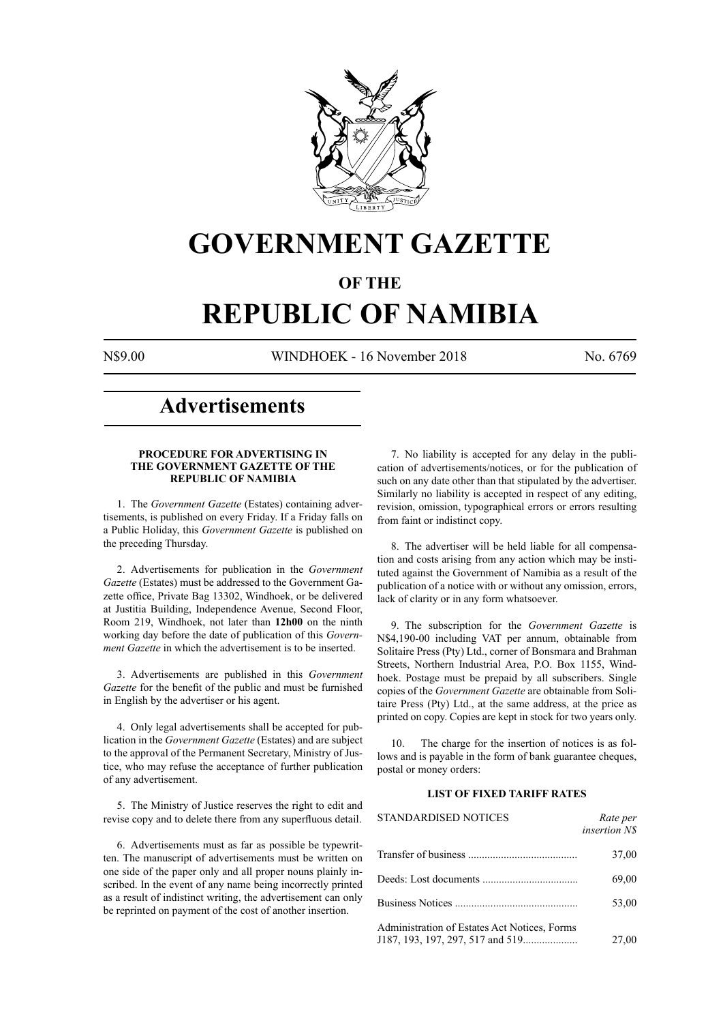

## **GOVERNMENT GAZETTE**

## **OF THE**

# **REPUBLIC OF NAMIBIA**

N\$9.00 WINDHOEK - 16 November 2018 No. 6769

## **Advertisements**

### **PROCEDURE FOR ADVERTISING IN THE GOVERNMENT GAZETTE OF THE REPUBLIC OF NAMIBIA**

1. The *Government Gazette* (Estates) containing advertisements, is published on every Friday. If a Friday falls on a Public Holiday, this *Government Gazette* is published on the preceding Thursday.

2. Advertisements for publication in the *Government Gazette* (Estates) must be addressed to the Government Gazette office, Private Bag 13302, Windhoek, or be delivered at Justitia Building, Independence Avenue, Second Floor, Room 219, Windhoek, not later than **12h00** on the ninth working day before the date of publication of this *Government Gazette* in which the advertisement is to be inserted.

3. Advertisements are published in this *Government Gazette* for the benefit of the public and must be furnished in English by the advertiser or his agent.

4. Only legal advertisements shall be accepted for publication in the *Government Gazette* (Estates) and are subject to the approval of the Permanent Secretary, Ministry of Justice, who may refuse the acceptance of further publication of any advertisement.

5. The Ministry of Justice reserves the right to edit and revise copy and to delete there from any superfluous detail.

6. Advertisements must as far as possible be typewritten. The manuscript of advertisements must be written on one side of the paper only and all proper nouns plainly inscribed. In the event of any name being incorrectly printed as a result of indistinct writing, the advertisement can only be reprinted on payment of the cost of another insertion.

7. No liability is accepted for any delay in the publication of advertisements/notices, or for the publication of such on any date other than that stipulated by the advertiser. Similarly no liability is accepted in respect of any editing, revision, omission, typographical errors or errors resulting from faint or indistinct copy.

8. The advertiser will be held liable for all compensation and costs arising from any action which may be instituted against the Government of Namibia as a result of the publication of a notice with or without any omission, errors, lack of clarity or in any form whatsoever.

9. The subscription for the *Government Gazette* is N\$4,190-00 including VAT per annum, obtainable from Solitaire Press (Pty) Ltd., corner of Bonsmara and Brahman Streets, Northern Industrial Area, P.O. Box 1155, Windhoek. Postage must be prepaid by all subscribers. Single copies of the *Government Gazette* are obtainable from Solitaire Press (Pty) Ltd., at the same address, at the price as printed on copy. Copies are kept in stock for two years only.

10. The charge for the insertion of notices is as follows and is payable in the form of bank guarantee cheques, postal or money orders:

## **LIST OF FIXED TARIFF RATES**

| <b>STANDARDISED NOTICES</b>                  | Rate per<br><i>insertion NS</i> |
|----------------------------------------------|---------------------------------|
|                                              | 37,00                           |
|                                              | 69,00                           |
|                                              | 53,00                           |
| Administration of Estates Act Notices, Forms | 27,00                           |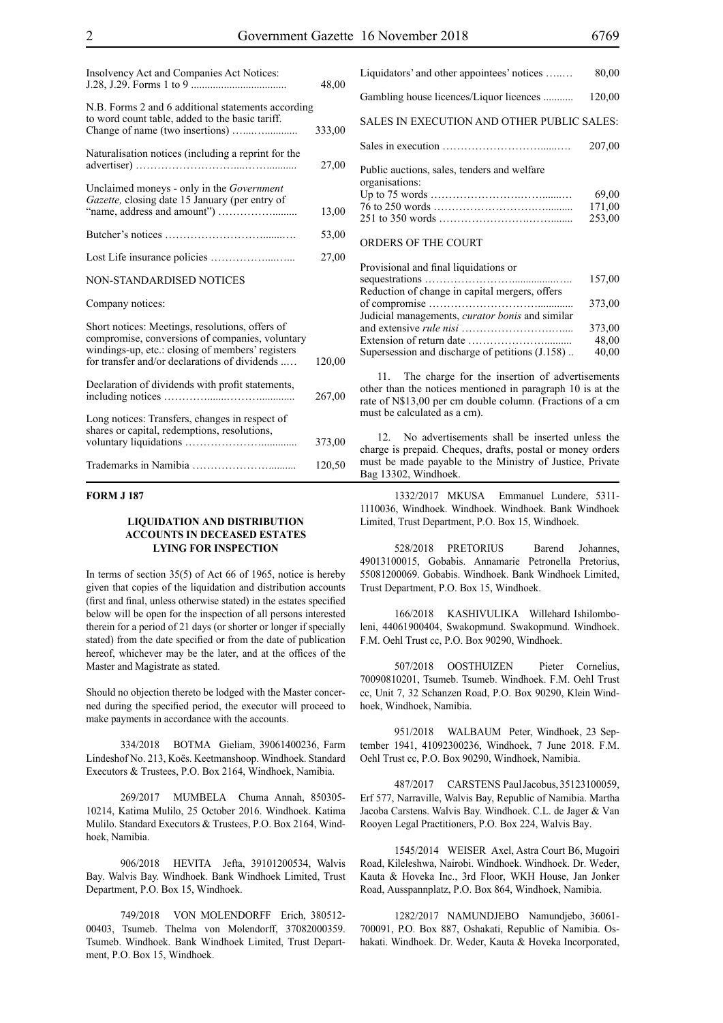| Insolvency Act and Companies Act Notices:                                                                                                                                                               | 48,00  |
|---------------------------------------------------------------------------------------------------------------------------------------------------------------------------------------------------------|--------|
| N.B. Forms 2 and 6 additional statements according<br>to word count table, added to the basic tariff.                                                                                                   | 333,00 |
| Naturalisation notices (including a reprint for the                                                                                                                                                     | 27,00  |
| Unclaimed moneys - only in the <i>Government</i><br>Gazette, closing date 15 January (per entry of                                                                                                      | 13,00  |
|                                                                                                                                                                                                         | 53,00  |
|                                                                                                                                                                                                         | 27,00  |
| <b>NON-STANDARDISED NOTICES</b>                                                                                                                                                                         |        |
| Company notices:                                                                                                                                                                                        |        |
| Short notices: Meetings, resolutions, offers of<br>compromise, conversions of companies, voluntary<br>windings-up, etc.: closing of members' registers<br>for transfer and/or declarations of dividends | 120,00 |
| Declaration of dividends with profit statements,                                                                                                                                                        | 267,00 |
| Long notices: Transfers, changes in respect of<br>shares or capital, redemptions, resolutions,                                                                                                          | 373,00 |
|                                                                                                                                                                                                         | 120,50 |

#### **FORM J 187**

#### **LIQUIDATION AND DISTRIBUTION ACCOUNTS IN DECEASED ESTATES LYING FOR INSPECTION**

In terms of section 35(5) of Act 66 of 1965, notice is hereby given that copies of the liquidation and distribution accounts (first and final, unless otherwise stated) in the estates specified below will be open for the inspection of all persons interested therein for a period of 21 days (or shorter or longer if specially stated) from the date specified or from the date of publication hereof, whichever may be the later, and at the offices of the Master and Magistrate as stated.

Should no objection thereto be lodged with the Master concerned during the specified period, the executor will proceed to make payments in accordance with the accounts.

334/2018 BOTMA Gieliam, 39061400236, Farm Lindeshof No. 213, Koës. Keetmanshoop. Windhoek. Standard Executors & Trustees, P.O. Box 2164, Windhoek, Namibia.

269/2017 MUMBELA Chuma Annah, 850305- 10214, Katima Mulilo, 25 October 2016. Windhoek. Katima Mulilo. Standard Executors & Trustees, P.O. Box 2164, Windhoek, Namibia.

906/2018 HEVITA Jefta, 39101200534, Walvis Bay. Walvis Bay. Windhoek. Bank Windhoek Limited, Trust Department, P.O. Box 15, Windhoek.

749/2018 VON MOLENDORFF Erich, 380512- 00403, Tsumeb. Thelma von Molendorff, 37082000359. Tsumeb. Windhoek. Bank Windhoek Limited, Trust Department, P.O. Box 15, Windhoek.

| Liquidators' and other appointees' notices                    | 80,00  |
|---------------------------------------------------------------|--------|
| Gambling house licences/Liquor licences                       | 120,00 |
| SALES IN EXECUTION AND OTHER PUBLIC SALES:                    |        |
|                                                               | 207,00 |
| Public auctions, sales, tenders and welfare<br>organisations: | 69,00  |
|                                                               | 171,00 |
| <b>ORDERS OF THE COURT</b>                                    | 253,00 |

## Provisional and final liquidations or sequestrations ……………………................….. 157,00 Reduction of change in capital mergers, offers of compromise …………………………............. 373,00 Judicial managements, *curator bonis* and similar and extensive *rule nisi* …………………….….... 373,00 Extension of return date ………………….......... 48,00

Supersession and discharge of petitions  $(J.158)$ .

11. The charge for the insertion of advertisements other than the notices mentioned in paragraph 10 is at the rate of N\$13,00 per cm double column. (Fractions of a cm must be calculated as a cm).

12. No advertisements shall be inserted unless the charge is prepaid. Cheques, drafts, postal or money orders must be made payable to the Ministry of Justice, Private Bag 13302, Windhoek.

1332/2017 MKUSA Emmanuel Lundere, 5311- 1110036, Windhoek. Windhoek. Windhoek. Bank Windhoek Limited, Trust Department, P.O. Box 15, Windhoek.

528/2018 PRETORIUS Barend Johannes, 49013100015, Gobabis. Annamarie Petronella Pretorius, 55081200069. Gobabis. Windhoek. Bank Windhoek Limited, Trust Department, P.O. Box 15, Windhoek.

166/2018 KASHIVULIKA Willehard Ishilomboleni, 44061900404, Swakopmund. Swakopmund. Windhoek. F.M. Oehl Trust cc, P.O. Box 90290, Windhoek.

507/2018 OOSTHUIZEN Pieter Cornelius, 70090810201, Tsumeb. Tsumeb. Windhoek. F.M. Oehl Trust cc, Unit 7, 32 Schanzen Road, P.O. Box 90290, Klein Windhoek, Windhoek, Namibia.

951/2018 WALBAUM Peter, Windhoek, 23 September 1941, 41092300236, Windhoek, 7 June 2018. F.M. Oehl Trust cc, P.O. Box 90290, Windhoek, Namibia.

487/2017 CARSTENS Paul Jacobus, 35123100059, Erf 577, Narraville, Walvis Bay, Republic of Namibia. Martha Jacoba Carstens. Walvis Bay. Windhoek. C.L. de Jager & Van Rooyen Legal Practitioners, P.O. Box 224, Walvis Bay.

1545/2014 WEISER Axel, Astra Court B6, Mugoiri Road, Kileleshwa, Nairobi. Windhoek. Windhoek. Dr. Weder, Kauta & Hoveka Inc., 3rd Floor, WKH House, Jan Jonker Road, Ausspannplatz, P.O. Box 864, Windhoek, Namibia.

1282/2017 NAMUNDJEBO Namundjebo, 36061- 700091, P.O. Box 887, Oshakati, Republic of Namibia. Oshakati. Windhoek. Dr. Weder, Kauta & Hoveka Incorporated,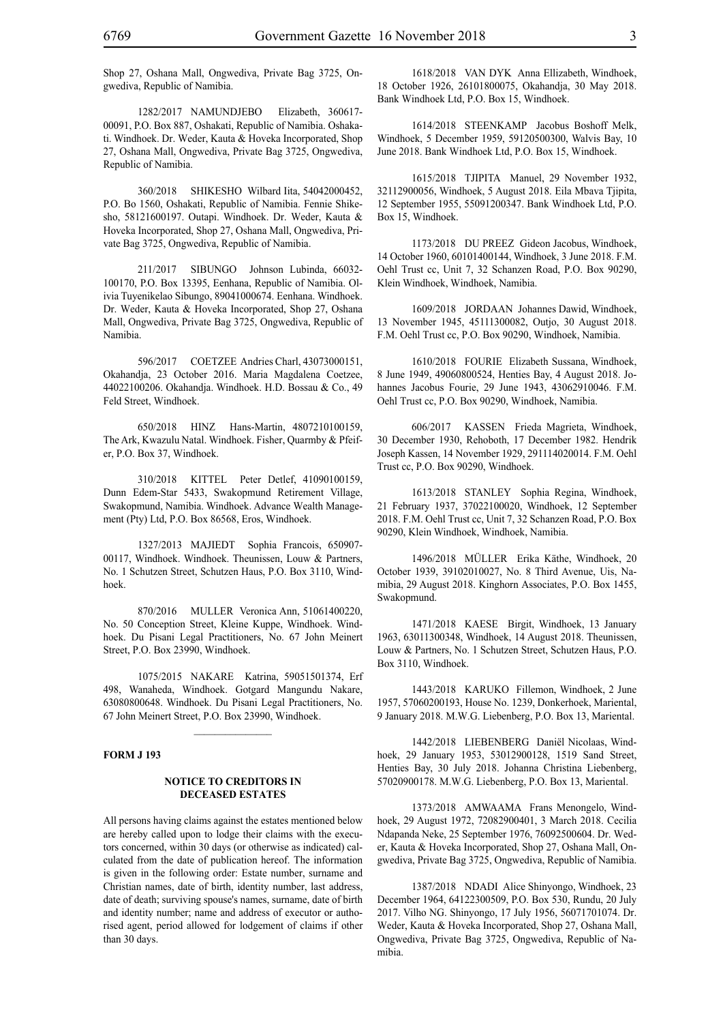Shop 27, Oshana Mall, Ongwediva, Private Bag 3725, Ongwediva, Republic of Namibia.

1282/2017 NAMUNDJEBO Elizabeth, 360617- 00091, P.O. Box 887, Oshakati, Republic of Namibia. Oshakati. Windhoek. Dr. Weder, Kauta & Hoveka Incorporated, Shop 27, Oshana Mall, Ongwediva, Private Bag 3725, Ongwediva, Republic of Namibia.

360/2018 SHIKESHO Wilbard Iita, 54042000452, P.O. Bo 1560, Oshakati, Republic of Namibia. Fennie Shikesho, 58121600197. Outapi. Windhoek. Dr. Weder, Kauta & Hoveka Incorporated, Shop 27, Oshana Mall, Ongwediva, Private Bag 3725, Ongwediva, Republic of Namibia.

211/2017 SIBUNGO Johnson Lubinda, 66032- 100170, P.O. Box 13395, Eenhana, Republic of Namibia. Olivia Tuyenikelao Sibungo, 89041000674. Eenhana. Windhoek. Dr. Weder, Kauta & Hoveka Incorporated, Shop 27, Oshana Mall, Ongwediva, Private Bag 3725, Ongwediva, Republic of Namibia.

596/2017 COETZEE Andries Charl, 43073000151, Okahandja, 23 October 2016. Maria Magdalena Coetzee, 44022100206. Okahandja. Windhoek. H.D. Bossau & Co., 49 Feld Street, Windhoek.

650/2018 HINZ Hans-Martin, 4807210100159, The Ark, Kwazulu Natal. Windhoek. Fisher, Quarmby & Pfeifer, P.O. Box 37, Windhoek.

310/2018 KITTEL Peter Detlef, 41090100159, Dunn Edem-Star 5433, Swakopmund Retirement Village, Swakopmund, Namibia. Windhoek. Advance Wealth Management (Pty) Ltd, P.O. Box 86568, Eros, Windhoek.

1327/2013 MAJIEDT Sophia Francois, 650907- 00117, Windhoek. Windhoek. Theunissen, Louw & Partners, No. 1 Schutzen Street, Schutzen Haus, P.O. Box 3110, Windhoek.

870/2016 MULLER Veronica Ann, 51061400220, No. 50 Conception Street, Kleine Kuppe, Windhoek. Windhoek. Du Pisani Legal Practitioners, No. 67 John Meinert Street, P.O. Box 23990, Windhoek.

1075/2015 NAKARE Katrina, 59051501374, Erf 498, Wanaheda, Windhoek. Gotgard Mangundu Nakare, 63080800648. Windhoek. Du Pisani Legal Practitioners, No. 67 John Meinert Street, P.O. Box 23990, Windhoek.

 $\mathcal{L}_\text{max}$ 

## **FORM J 193**

#### **NOTICE TO CREDITORS IN DECEASED ESTATES**

All persons having claims against the estates mentioned below are hereby called upon to lodge their claims with the executors concerned, within 30 days (or otherwise as indicated) calculated from the date of publication hereof. The information is given in the following order: Estate number, surname and Christian names, date of birth, identity number, last address, date of death; surviving spouse's names, surname, date of birth and identity number; name and address of executor or authorised agent, period allowed for lodgement of claims if other than 30 days.

1618/2018 VAN DYK Anna Ellizabeth, Windhoek, 18 October 1926, 26101800075, Okahandja, 30 May 2018. Bank Windhoek Ltd, P.O. Box 15, Windhoek.

1614/2018 STEENKAMP Jacobus Boshoff Melk, Windhoek, 5 December 1959, 59120500300, Walvis Bay, 10 June 2018. Bank Windhoek Ltd, P.O. Box 15, Windhoek.

1615/2018 TJIPITA Manuel, 29 November 1932, 32112900056, Windhoek, 5 August 2018. Eila Mbava Tjipita, 12 September 1955, 55091200347. Bank Windhoek Ltd, P.O. Box 15, Windhoek.

1173/2018 DU PREEZ Gideon Jacobus, Windhoek, 14 October 1960, 60101400144, Windhoek, 3 June 2018. F.M. Oehl Trust cc, Unit 7, 32 Schanzen Road, P.O. Box 90290, Klein Windhoek, Windhoek, Namibia.

1609/2018 JORDAAN Johannes Dawid, Windhoek, 13 November 1945, 45111300082, Outjo, 30 August 2018. F.M. Oehl Trust cc, P.O. Box 90290, Windhoek, Namibia.

1610/2018 FOURIE Elizabeth Sussana, Windhoek, 8 June 1949, 49060800524, Henties Bay, 4 August 2018. Johannes Jacobus Fourie, 29 June 1943, 43062910046. F.M. Oehl Trust cc, P.O. Box 90290, Windhoek, Namibia.

606/2017 KASSEN Frieda Magrieta, Windhoek, 30 December 1930, Rehoboth, 17 December 1982. Hendrik Joseph Kassen, 14 November 1929, 291114020014. F.M. Oehl Trust cc, P.O. Box 90290, Windhoek.

1613/2018 STANLEY Sophia Regina, Windhoek, 21 February 1937, 37022100020, Windhoek, 12 September 2018. F.M. Oehl Trust cc, Unit 7, 32 Schanzen Road, P.O. Box 90290, Klein Windhoek, Windhoek, Namibia.

1496/2018 MÜLLER Erika Käthe, Windhoek, 20 October 1939, 39102010027, No. 8 Third Avenue, Uis, Namibia, 29 August 2018. Kinghorn Associates, P.O. Box 1455, Swakopmund.

1471/2018 KAESE Birgit, Windhoek, 13 January 1963, 63011300348, Windhoek, 14 August 2018. Theunissen, Louw & Partners, No. 1 Schutzen Street, Schutzen Haus, P.O. Box 3110, Windhoek.

1443/2018 KARUKO Fillemon, Windhoek, 2 June 1957, 57060200193, House No. 1239, Donkerhoek, Mariental, 9 January 2018. M.W.G. Liebenberg, P.O. Box 13, Mariental.

1442/2018 LIEBENBERG Daniël Nicolaas, Windhoek, 29 January 1953, 53012900128, 1519 Sand Street, Henties Bay, 30 July 2018. Johanna Christina Liebenberg, 57020900178. M.W.G. Liebenberg, P.O. Box 13, Mariental.

1373/2018 AMWAAMA Frans Menongelo, Windhoek, 29 August 1972, 72082900401, 3 March 2018. Cecilia Ndapanda Neke, 25 September 1976, 76092500604. Dr. Weder, Kauta & Hoveka Incorporated, Shop 27, Oshana Mall, Ongwediva, Private Bag 3725, Ongwediva, Republic of Namibia.

1387/2018 NDADI Alice Shinyongo, Windhoek, 23 December 1964, 64122300509, P.O. Box 530, Rundu, 20 July 2017. Vilho NG. Shinyongo, 17 July 1956, 56071701074. Dr. Weder, Kauta & Hoveka Incorporated, Shop 27, Oshana Mall, Ongwediva, Private Bag 3725, Ongwediva, Republic of Namibia.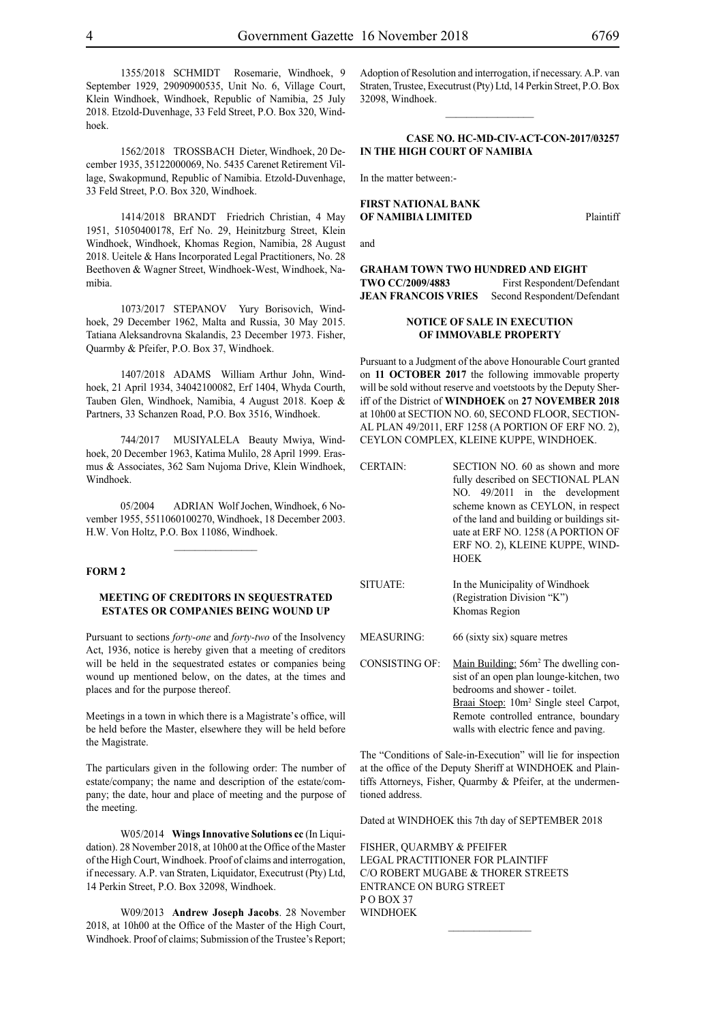1355/2018 SCHMIDT Rosemarie, Windhoek, 9 September 1929, 29090900535, Unit No. 6, Village Court, Klein Windhoek, Windhoek, Republic of Namibia, 25 July 2018. Etzold-Duvenhage, 33 Feld Street, P.O. Box 320, Windhoek.

1562/2018 TROSSBACH Dieter, Windhoek, 20 December 1935, 35122000069, No. 5435 Carenet Retirement Village, Swakopmund, Republic of Namibia. Etzold-Duvenhage, 33 Feld Street, P.O. Box 320, Windhoek.

1414/2018 BRANDT Friedrich Christian, 4 May 1951, 51050400178, Erf No. 29, Heinitzburg Street, Klein Windhoek, Windhoek, Khomas Region, Namibia, 28 August 2018. Ueitele & Hans Incorporated Legal Practitioners, No. 28 Beethoven & Wagner Street, Windhoek-West, Windhoek, Namibia.

1073/2017 STEPANOV Yury Borisovich, Windhoek, 29 December 1962, Malta and Russia, 30 May 2015. Tatiana Aleksandrovna Skalandis, 23 December 1973. Fisher, Quarmby & Pfeifer, P.O. Box 37, Windhoek.

1407/2018 ADAMS William Arthur John, Windhoek, 21 April 1934, 34042100082, Erf 1404, Whyda Courth, Tauben Glen, Windhoek, Namibia, 4 August 2018. Koep & Partners, 33 Schanzen Road, P.O. Box 3516, Windhoek.

744/2017 MUSIYALELA Beauty Mwiya, Windhoek, 20 December 1963, Katima Mulilo, 28 April 1999. Erasmus & Associates, 362 Sam Nujoma Drive, Klein Windhoek, Windhoek.

05/2004 ADRIAN Wolf Jochen, Windhoek, 6 November 1955, 5511060100270, Windhoek, 18 December 2003. H.W. Von Holtz, P.O. Box 11086, Windhoek.

## **FORM 2**

## **MEETING OF CREDITORS IN SEQUESTRATED ESTATES OR COMPANIES BEING WOUND UP**

Pursuant to sections *forty-one* and *forty-two* of the Insolvency Act, 1936, notice is hereby given that a meeting of creditors will be held in the sequestrated estates or companies being wound up mentioned below, on the dates, at the times and places and for the purpose thereof.

Meetings in a town in which there is a Magistrate's office, will be held before the Master, elsewhere they will be held before the Magistrate.

The particulars given in the following order: The number of estate/company; the name and description of the estate/company; the date, hour and place of meeting and the purpose of the meeting.

W05/2014 **Wings Innovative Solutions cc** (In Liquidation). 28 November 2018, at 10h00 at the Office of the Master of the High Court, Windhoek. Proof of claims and interrogation, if necessary. A.P. van Straten, Liquidator, Executrust (Pty) Ltd, 14 Perkin Street, P.O. Box 32098, Windhoek.

W09/2013 **Andrew Joseph Jacobs**. 28 November 2018, at 10h00 at the Office of the Master of the High Court, Windhoek. Proof of claims; Submission of the Trustee's Report;

Adoption of Resolution and interrogation, if necessary. A.P. van Straten, Trustee, Executrust (Pty) Ltd, 14 Perkin Street, P.O. Box 32098, Windhoek.

 $\frac{1}{2}$ 

#### **CASE No. HC-MD-CIV-ACT-CON-2017/03257 IN THE HIGH COURT OF NAMIBIA**

In the matter between:-

#### **FIRST NATIONAL BANK OF NAMIBIA LIMITED** Plaintiff

and

**GRAHAM TOWN TWO HUNDRED AND EIGHT TWO CC/2009/4883** First Respondent/Defendant **JEAN FRANCOIS VRIES** Second Respondent/Defendant

### **NOTICE OF SALE IN EXECUTION OF IMMOVABLE PROPERTY**

Pursuant to a Judgment of the above Honourable Court granted on **11 OCTOBER 2017** the following immovable property will be sold without reserve and voetstoots by the Deputy Sheriff of the District of **WINDHOEK** on **27 NOVEMBER 2018** at 10h00 at SECTION NO. 60, SECOND FLOOR, SECTION-AL PLAN 49/2011, ERF 1258 (A PORTION OF ERF NO. 2), CEYLON COMPLEX, KLEINE KUPPE, WINDHOEK.

| <b>CERTAIN:</b>       | SECTION NO. 60 as shown and more<br>fully described on SECTIONAL PLAN<br>NO. 49/2011 in the development<br>scheme known as CEYLON, in respect<br>of the land and building or buildings sit-<br>uate at ERF NO. 1258 (A PORTION OF<br>ERF NO. 2), KLEINE KUPPE, WIND-<br><b>HOEK</b> |
|-----------------------|-------------------------------------------------------------------------------------------------------------------------------------------------------------------------------------------------------------------------------------------------------------------------------------|
| SITUATE:              | In the Municipality of Windhoek<br>(Registration Division "K")<br>Khomas Region                                                                                                                                                                                                     |
| <b>MEASURING:</b>     | 66 (sixty six) square metres                                                                                                                                                                                                                                                        |
| <b>CONSISTING OF:</b> | Main Building: 56m <sup>2</sup> The dwelling con-<br>sist of an open plan lounge-kitchen, two<br>bedrooms and shower - toilet.<br>Braai Stoep: 10m <sup>2</sup> Single steel Carpot,<br>Remote controlled entrance, boundary<br>walls with electric fence and paving.               |

The "Conditions of Sale-in-Execution" will lie for inspection at the office of the Deputy Sheriff at WINDHOEK and Plaintiffs Attorneys, Fisher, Quarmby & Pfeifer, at the undermentioned address.

Dated at WINDHOEK this 7th day of SEPTEMBER 2018

 $\frac{1}{2}$ 

FISHER, QUARMBY & PFEIFER LEGAL PRACTITIONER FOR Plaintiff c/o Robert Mugabe & Thorer Streets entrance on Burg Street PO BOX 37 WINDHOEK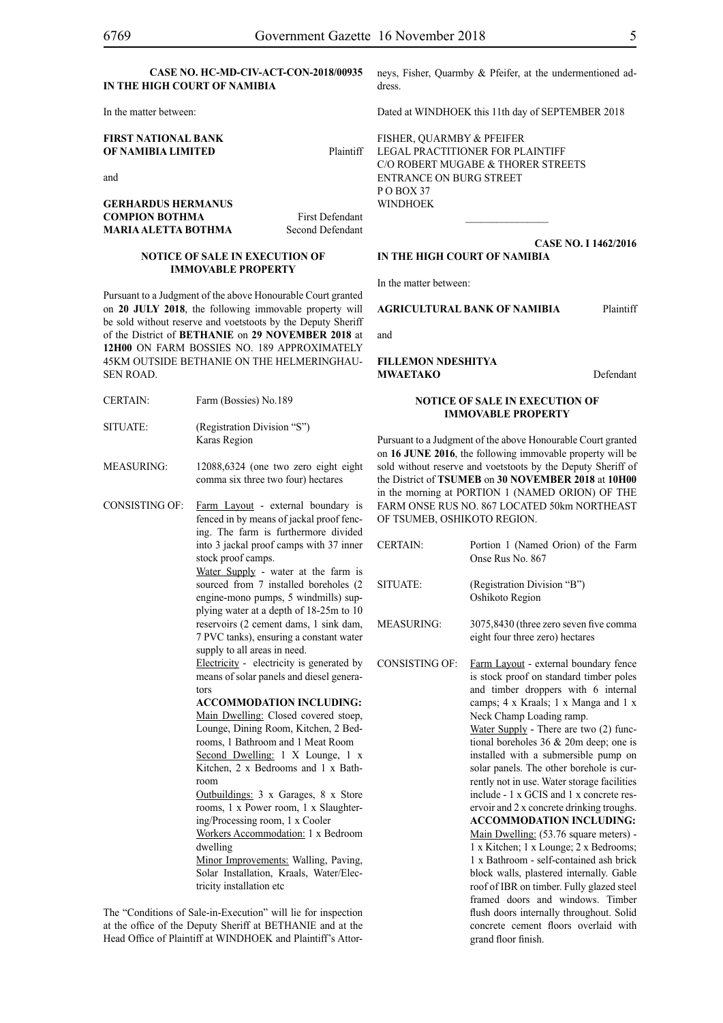In the matter between:

## **FIRST NATIONAL BANK OF NAMIBIA LIMITED** Plaintiff

and

## **GERHARDUS HERMANUS COMPION BOTHMA** First Defendant **MARIA ALETTA BOTHMA** Second Defendant

#### **NOTICE OF SALE IN EXECUTION OF IMMOVABLE PROPERTY**

Pursuant to a Judgment of the above Honourable Court granted on **20 JULY 2018**, the following immovable property will be sold without reserve and voetstoots by the Deputy Sheriff of the District of **BETHANIE** on **29 NOVEMBER 2018** at **12H00** ON FARM BOSSIES NO. 189 APPROXIMATELY 45KM OUTSIDE BETHANIE ON THE HELMERINGHAU-SEN ROAD.

- CERTAIN: Farm (Bossies) No.189
- SITUATE: (Registration Division "S") Karas Region
- MEASURING: 12088,6324 (one two zero eight eight comma six three two four) hectares
- CONSISTING OF: Farm Layout external boundary is fenced in by means of jackal proof fencing. The farm is furthermore divided into 3 jackal proof camps with 37 inner stock proof camps.

Water Supply - water at the farm is sourced from 7 installed boreholes (2) engine-mono pumps, 5 windmills) supplying water at a depth of 18-25m to 10 reservoirs (2 cement dams, 1 sink dam, 7 PVC tanks), ensuring a constant water supply to all areas in need.

Electricity - electricity is generated by means of solar panels and diesel generators

#### **ACCOMMODATION INCLUDING:**

Main Dwelling: Closed covered stoep, Lounge, Dining Room, Kitchen, 2 Bedrooms, 1 Bathroom and 1 Meat Room Second Dwelling: 1 X Lounge, 1 x Kitchen, 2 x Bedrooms and 1 x Bathroom

Outbuildings: 3 x Garages, 8 x Store rooms, 1 x Power room, 1 x Slaughtering/Processing room, 1 x Cooler

Workers Accommodation: 1 x Bedroom dwelling

Minor Improvements: Walling, Paving, Solar Installation, Kraals, Water/Electricity installation etc

The "Conditions of Sale-in-Execution" will lie for inspection at the office of the Deputy Sheriff at BETHANIE and at the Head Office of Plaintiff at WINDHOEK and Plaintiff's Attorneys, Fisher, Quarmby & Pfeifer, at the undermentioned address.

Dated at WINDHOEK this 11th day of SEPTEMBER 2018

FISHER, QUARMBY & PFEIFER LEGAL PRACTITIONER FOR Plaintiff c/o Robert Mugabe & Thorer Streets entrance on Burg Street P O BOX 37 WINDHOEK

#### **CASE NO. I 1462/2016 IN THE HIGH COURT OF NAMIBIA**

 $\frac{1}{2}$ 

In the matter between:

#### **AGRICULTURAL BANK OF NAMIBIA** Plaintiff

and

## **FILLEMON NDESHITYA MWAETAKO** Defendant

#### **NOTICE OF SALE IN EXECUTION OF IMMOVABLE PROPERTY**

Pursuant to a Judgment of the above Honourable Court granted on **16 JUNE 2016**, the following immovable property will be sold without reserve and voetstoots by the Deputy Sheriff of the District of **TSUMEB** on **30 NOVEMBER 2018** at **10H00**  in the morning at PORTION 1 (NAMED ORION) OF THE FARM ONSE RUS NO. 867 LOCATED 50km NORTHEAST OF TSUMEB, OSHIKOTO REGION.

CERTAIN: Portion 1 (Named Orion) of the Farm Onse Rus No. 867 SITUATE: (Registration Division "B") Oshikoto Region MEASURING: 3075,8430 (three zero seven five comma eight four three zero) hectares CONSISTING OF: Farm Layout - external boundary fence is stock proof on standard timber poles and timber droppers with 6 internal camps; 4 x Kraals; 1 x Manga and 1 x Neck Champ Loading ramp. Water Supply - There are two (2) func-

tional boreholes 36 & 20m deep; one is installed with a submersible pump on solar panels. The other borehole is currently not in use. Water storage facilities include - 1 x GCIS and 1 x concrete reservoir and 2 x concrete drinking troughs. **ACCOMMODATION INCLUDING:**  Main Dwelling: (53.76 square meters) -1 x Kitchen; 1 x Lounge; 2 x Bedrooms; 1 x Bathroom - self-contained ash brick block walls, plastered internally. Gable roof of IBR on timber. Fully glazed steel

framed doors and windows. Timber flush doors internally throughout. Solid concrete cement floors overlaid with grand floor finish.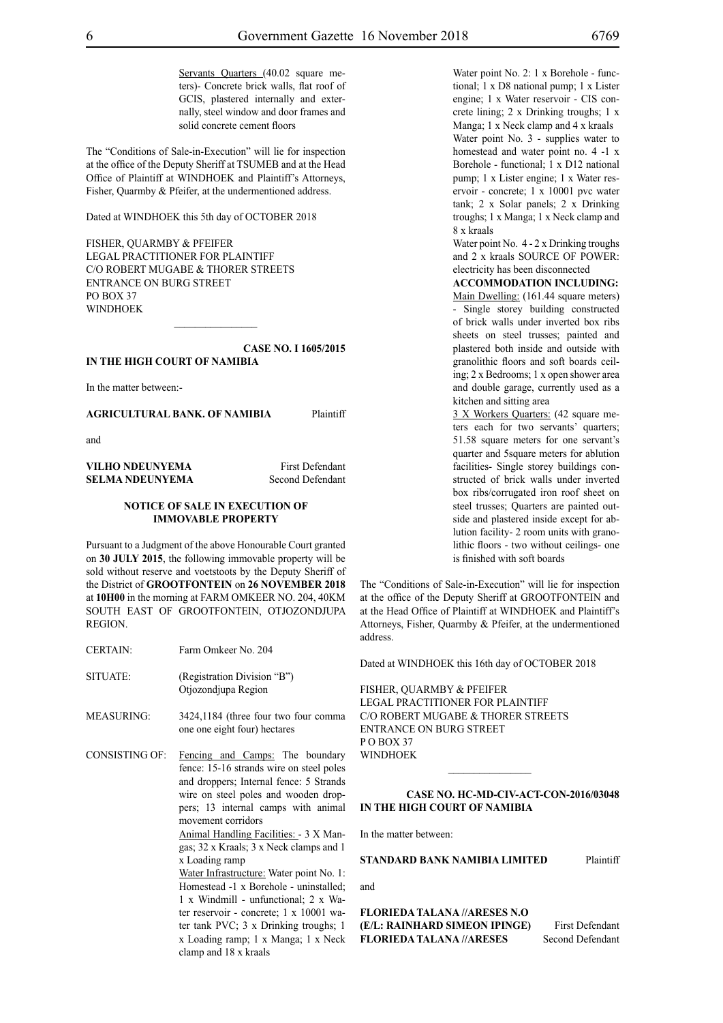Servants Quarters (40.02 square meters)- Concrete brick walls, flat roof of GCIS, plastered internally and externally, steel window and door frames and solid concrete cement floors

The "Conditions of Sale-in-Execution" will lie for inspection at the office of the Deputy Sheriff at TSUMEB and at the Head Office of Plaintiff at WINDHOEK and Plaintiff's Attorneys, Fisher, Quarmby & Pfeifer, at the undermentioned address.

Dated at WINDHOEK this 5th day of OCTOBER 2018

FISHER, QUARMBY & PFEIFER LEGAL PRACTITIONER FOR Plaintiff c/o Robert Mugabe & Thorer Streets entrance on Burg Street PO BOX 37 **WINDHOEK** 

**CASE NO. I 1605/2015 IN THE HIGH COURT OF NAMIBIA**

In the matter between:-

**AGRICULTURAL BANK. OF NAMIBIA** Plaintiff

and

**VILHO NDEUNYEMA** First Defendant **SELMA NDEUNYEMA** Second Defendant

## **NOTICE OF SALE IN EXECUTION OF IMMOVABLE PROPERTY**

Pursuant to a Judgment of the above Honourable Court granted on **30 JULY 2015**, the following immovable property will be sold without reserve and voetstoots by the Deputy Sheriff of the District of **GROOTFONTEIN** on **26 NOVEMBER 2018** at **10H00** in the morning at FARM OMKEER NO. 204, 40KM SOUTH EAST OF GROOTFONTEIN, OTJOZONDJUPA REGION.

- CERTAIN: Farm Omkeer No. 204
- SITUATE: (Registration Division "B") Otjozondjupa Region
- MEASURING: 3424,1184 (three four two four comma one one eight four) hectares

CONSISTING OF: Fencing and Camps: The boundary fence: 15-16 strands wire on steel poles and droppers; Internal fence: 5 Strands wire on steel poles and wooden droppers; 13 internal camps with animal movement corridors

> Animal Handling Facilities: - 3 X Mangas; 32 x Kraals; 3 x Neck clamps and 1 x Loading ramp

> Water Infrastructure: Water point No. 1: Homestead -1 x Borehole - uninstalled; 1 x Windmill - unfunctional; 2 x Water reservoir - concrete; 1 x 10001 water tank PVC; 3 x Drinking troughs; 1 x Loading ramp; 1 x Manga; 1 x Neck clamp and 18 x kraals

Water point No. 2: 1 x Borehole - functional; 1 x D8 national pump; 1 x Lister engine; 1 x Water reservoir - CIS concrete lining; 2 x Drinking troughs; 1 x Manga; 1 x Neck clamp and 4 x kraals Water point No. 3 - supplies water to homestead and water point no. 4 -1 x Borehole - functional; 1 x D12 national pump; 1 x Lister engine; 1 x Water reservoir - concrete; 1 x 10001 pvc water tank; 2 x Solar panels; 2 x Drinking troughs; 1 x Manga; 1 x Neck clamp and 8 x kraals

Water point No. 4 - 2 x Drinking troughs and 2 x kraals SOURCE OF POWER: electricity has been disconnected

#### **ACCOMMODATION INCLUDING:**

Main Dwelling: (161.44 square meters) - Single storey building constructed of brick walls under inverted box ribs sheets on steel trusses; painted and plastered both inside and outside with granolithic floors and soft boards ceiling; 2 x Bedrooms; 1 x open shower area and double garage, currently used as a kitchen and sitting area

3 X Workers Quarters: (42 square meters each for two servants' quarters; 51.58 square meters for one servant's quarter and 5square meters for ablution facilities- Single storey buildings constructed of brick walls under inverted box ribs/corrugated iron roof sheet on steel trusses; Quarters are painted outside and plastered inside except for ablution facility- 2 room units with granolithic floors - two without ceilings- one is finished with soft boards

The "Conditions of Sale-in-Execution" will lie for inspection at the office of the Deputy Sheriff at GROOTFONTEIN and at the Head Office of Plaintiff at WINDHOEK and Plaintiff's Attorneys, Fisher, Quarmby & Pfeifer, at the undermentioned address.

Dated at WINDHOEK this 16th day of OCTOBER 2018

FISHER, QUARMBY & PFEIFER LEGAL PRACTITIONER FOR Plaintiff c/o Robert Mugabe & Thorer Streets entrance on Burg Street PO BOX 37 WINDHOEK

### **CASE No. HC-MD-CIV-ACT-CON-2016/03048 IN THE HIGH COURT OF NAMIBIA**

 $\frac{1}{2}$ 

In the matter between:

**STANDARD BANK NAMIBIA LIMITED** Plaintiff

and

**FLORIEDA TALANA //ARESES N.O (E/L: RAINHARD SIMEON IPINGE)** First Defendant **FLORIEDA TALANA** //**ARESES** Second Defendant **FLORIEDA TALANA //ARESES**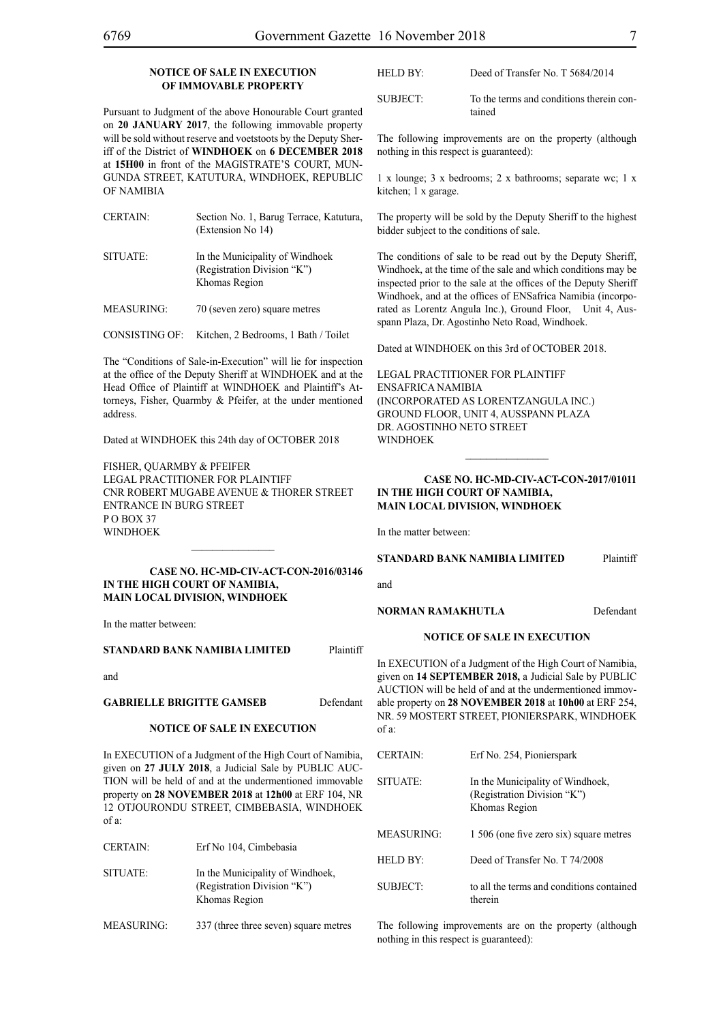## **NOTICE OF SALE IN EXECUTION OF IMMOVABLE PROPERTY**

Pursuant to Judgment of the above Honourable Court granted on **20 JANUARY 2017**, the following immovable property will be sold without reserve and voetstoots by the Deputy Sheriff of the District of **WINDHOEK** on **6 DECEMBER 2018** at **15H00** in front of the MAGISTRATE'S COURT, MUN-GUNDA STREET, KATUTURA, WINDHOEK, REPUBLIC OF NAMIBIA

CERTAIN: Section No. 1, Barug Terrace, Katutura, (Extension No 14) SITUATE: In the Municipality of Windhoek (Registration Division "K") Khomas Region

MEASURING: 70 (seven zero) square metres

CONSISTING OF: Kitchen, 2 Bedrooms, 1 Bath / Toilet

The "Conditions of Sale-in-Execution" will lie for inspection at the office of the Deputy Sheriff at WINDHOEK and at the Head Office of Plaintiff at WINDHOEK and Plaintiff's Attorneys, Fisher, Quarmby & Pfeifer, at the under mentioned address.

Dated at WINDHOEK this 24th day of OCTOBER 2018

FISHER, QUARMBY & PFEIFER LEGAL PRACTITIONER FOR Plaintiff Cnr Robert Mugabe Avenue & Thorer Street Entrance in Burg Street PO BOX 37 WINDHOEK

### **Case NO. HC-MD-CIV-ACT-CON-2016/03146 IN THE HIGH COURT OF NAMIBIA, MAIN LOCAL DIVISION, WINDHOEK**

 $\mathcal{L}=\mathcal{L}^{\mathcal{L}}$ 

In the matter between:

#### **STANDARD BANK NAMIBIA LIMITED** Plaintiff

and

**GABRIELLE BRIGITTE GAMSEB** Defendant

## **NOTICE OF SALE IN EXECUTION**

In EXECUTION of a Judgment of the High Court of Namibia, given on **27 JULY 2018**, a Judicial Sale by PUBLIC AUC-TION will be held of and at the undermentioned immovable property on **28 NOVEMBER 2018** at **12h00** at ERF 104, NR 12 OTJOURONDU STREET, CIMBEBASIA, WINDHOEK of a:

| CERTAIN: | Erf No 104, Cimbebasia                                                           |
|----------|----------------------------------------------------------------------------------|
| SITUATE: | In the Municipality of Windhoek,<br>(Registration Division "K")<br>Khomas Region |

MEASURING: 337 (three three seven) square metres

| HELD BY:- | Deed of Transfer No. T 5684/2014                   |
|-----------|----------------------------------------------------|
| SUBJECT:  | To the terms and conditions therein con-<br>tained |

The following improvements are on the property (although nothing in this respect is guaranteed):

1 x lounge; 3 x bedrooms; 2 x bathrooms; separate wc; 1 x kitchen; 1 x garage.

The property will be sold by the Deputy Sheriff to the highest bidder subject to the conditions of sale.

The conditions of sale to be read out by the Deputy Sheriff, Windhoek, at the time of the sale and which conditions may be inspected prior to the sale at the offices of the Deputy Sheriff Windhoek, and at the offices of ENSafrica Namibia (incorporated as Lorentz Angula Inc.), Ground Floor, Unit 4, Ausspann Plaza, Dr. Agostinho Neto Road, Windhoek.

Dated at WINDHOEK on this 3rd of OCTOBER 2018.

Legal Practitioner for Plaintiff ENSafrica Namibia (incorporated as LorentzAngula Inc.) Ground Floor, Unit 4, Ausspann Plaza Dr. Agostinho Neto Street **WINDHOEK** 

#### **Case NO. HC-MD-CIV-ACT-CON-2017/01011 IN THE HIGH COURT OF NAMIBIA, MAIN LOCAL DIVISION, WINDHOEK**

In the matter between:

## **STANDARD BANK NAMIBIA LIMITED** Plaintiff

and

## **NORMAN RAMAKHUTLA** Defendant

#### **NOTICE OF SALE IN EXECUTION**

In EXECUTION of a Judgment of the High Court of Namibia, given on **14 SEPTEMBER 2018,** a Judicial Sale by PUBLIC AUCTION will be held of and at the undermentioned immovable property on **28 NOVEMBER 2018** at **10h00** at ERF 254, NR. 59 MOSTERT STREET, PIONIERSPARK, WINDHOEK of a:

| <b>CERTAIN:</b> | Erf No. 254, Pionierspark                                                        |
|-----------------|----------------------------------------------------------------------------------|
| <b>SITUATE:</b> | In the Municipality of Windhoek,<br>(Registration Division "K")<br>Khomas Region |
| MEASURING:      | 1 506 (one five zero six) square metres                                          |
| HELD BY:        | Deed of Transfer No. T 74/2008                                                   |
| SUBJECT:        | to all the terms and conditions contained<br>therein                             |

The following improvements are on the property (although nothing in this respect is guaranteed):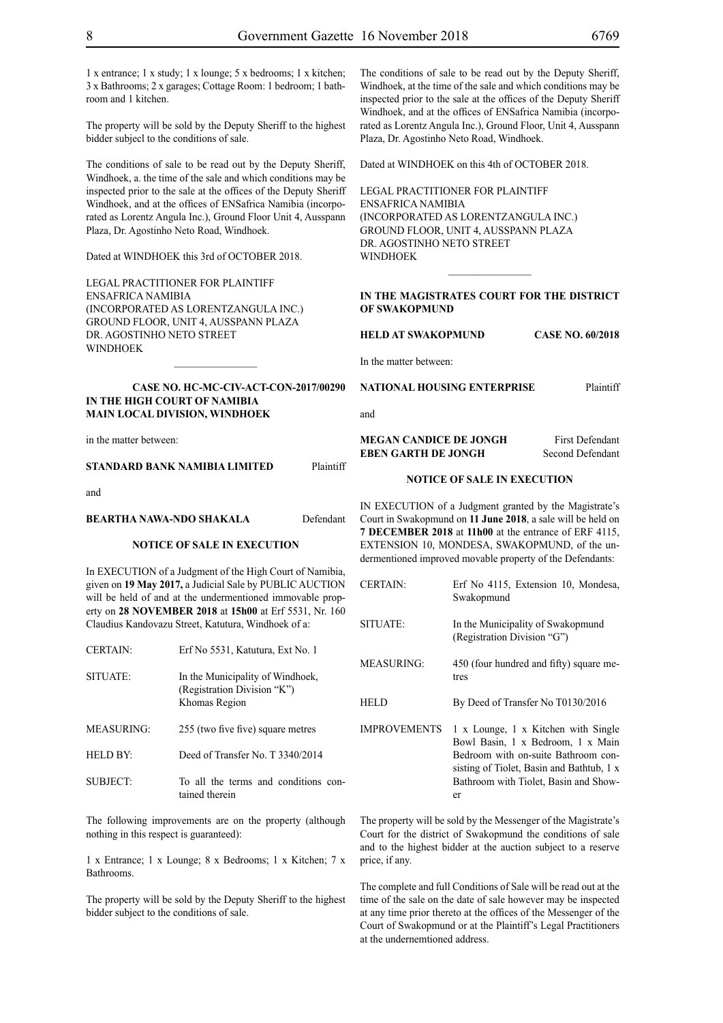1 x entrance; 1 x study; 1 x lounge; 5 x bedrooms; 1 x kitchen; 3 x Bathrooms; 2 x garages; Cottage Room: 1 bedroom; 1 bathroom and 1 kitchen.

The property will be sold by the Deputy Sheriff to the highest bidder subjecl to the conditions of sale.

The conditions of sale to be read out by the Deputy Sheriff, Windhoek, a. the time of the sale and which conditions may be inspected prior to the sale at the offices of the Deputy Sheriff Windhoek, and at the offices of ENSafrica Namibia (incorporated as Lorentz Angula Inc.), Ground Floor Unit 4, Ausspann Plaza, Dr. Agostinho Neto Road, Windhoek.

Dated at WINDHOEK this 3rd of OCTOBER 2018.

Legal Practitioner for Plaintiff ENSafrica Namibia (incorporated as LorentzAngula Inc.) Ground Floor, Unit 4, Ausspann Plaza Dr. Agostinho Neto Street WINDHOEK

## **Case No. HC-MC-CIV-ACT-CON-2017/00290 IN THE HIGH COURT OF NAMIBIA MAIN LOCAL DIVISION, WINDHOEK**

 $\frac{1}{2}$ 

in the matter between:

#### **STANDARD BANK NAMIBIA LIMITED** Plaintiff

and

## **BEARTHA NAWA-NDO SHAKALA** Defendant

## **NOTICE OF SALE IN EXECUTION**

In EXECUTION of a Judgment of the High Court of Namibia, given on **19 May 2017,** a Judicial Sale by PUBLIC AUCTION will be held of and at the undermentioned immovable property on **28 NOVEMBER 2018** at **15h00** at Erf 5531, Nr. 160 Claudius Kandovazu Street, Katutura, Windhoek of a:

| <b>CERTAIN:</b>   | Erf No 5531, Katutura, Ext No. 1                                                 |
|-------------------|----------------------------------------------------------------------------------|
| SITUATE:          | In the Municipality of Windhoek,<br>(Registration Division "K")<br>Khomas Region |
| <b>MEASURING:</b> | 255 (two five five) square metres                                                |
| HELD BY:          | Deed of Transfer No. T 3340/2014                                                 |
| <b>SUBJECT:</b>   | To all the terms and conditions con-<br>tained therein                           |

The following improvements are on the property (although nothing in this respect is guaranteed):

1 x Entrance; 1 x Lounge; 8 x Bedrooms; 1 x Kitchen; 7 x Bathrooms.

The property will be sold by the Deputy Sheriff to the highest bidder subject to the conditions of sale.

Dated at WINDHOEK on this 4th of OCTOBER 2018.

Legal Practitioner for Plaintiff ENSafrica Namibia (incorporated as LorentzAngula Inc.) Ground Floor, Unit 4, Ausspann Plaza Dr. Agostinho Neto Street WINDHOEK

#### **IN THE MAGISTRATES COURT FOR THE DISTRICT OF SWAKOPMUND**

 $\frac{1}{2}$ 

**HELD AT SWAKOPMUND CASE NO. 60/2018**

In the matter between:

#### **NATIONAL HOUSING ENTERPRISE** Plaintiff

and

#### **MEGAN CANDICE DE JONGH** First Defendant **EBEN GARTH DE JONGH** Second Defendant

#### **NOTICE OF SALE IN EXECUTION**

IN EXECUTION of a Judgment granted by the Magistrate's Court in Swakopmund on **11 June 2018**, a sale will be held on **7 DECEMBER 2018** at **11h00** at the entrance of ERF 4115, EXTENSION 10, MONDESA, SWAKOPMUND, of the undermentioned improved movable property of the Defendants:

| <b>CERTAIN:</b>     | Erf No 4115, Extension 10, Mondesa,<br>Swakopmund                                                                                                                                                           |
|---------------------|-------------------------------------------------------------------------------------------------------------------------------------------------------------------------------------------------------------|
| SITUATE:            | In the Municipality of Swakopmund<br>(Registration Division "G")                                                                                                                                            |
| <b>MEASURING:</b>   | 450 (four hundred and fifty) square me-<br>tres                                                                                                                                                             |
| HEL D               | By Deed of Transfer No T0130/2016                                                                                                                                                                           |
| <b>IMPROVEMENTS</b> | 1 x Lounge, 1 x Kitchen with Single<br>Bowl Basin, 1 x Bedroom, 1 x Main<br>Bedroom with on-suite Bathroom con-<br>sisting of Tiolet, Basin and Bathtub, 1 x<br>Bathroom with Tiolet, Basin and Show-<br>er |

The property will be sold by the Messenger of the Magistrate's Court for the district of Swakopmund the conditions of sale and to the highest bidder at the auction subject to a reserve price, if any.

The complete and full Conditions of Sale will be read out at the time of the sale on the date of sale however may be inspected at any time prior thereto at the offices of the Messenger of the Court of Swakopmund or at the Plaintiff's Legal Practitioners at the undernemtioned address.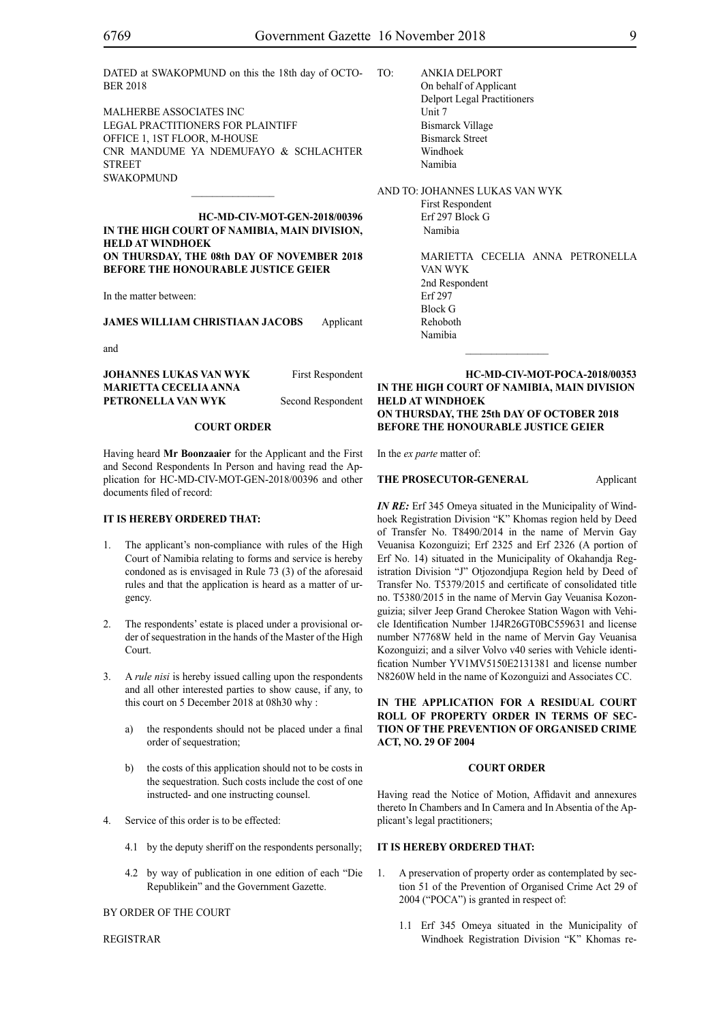DATED at SWAKOPMUND on this the 18th day of OCTO-BER 2018

MALHERBE ASSOCIATES INC Legal Practitioners for Plaintiff Office 1, 1St Floor, M-House Cnr Mandume Ya Ndemufayo & schlachter **STREET SWAKOPMUND** 

**HC-MD-CIV-MOT-GEN-2018/00396 IN THE HIGH COURT OF NAMIBIA, MAIN DIVISION, HELD AT WINDHOEK ON THURSDAY, THE 08th DAY OF NOVEMBER 2018 BEFORE THE HONOURABLE JUSTICE GEIER**

In the matter between:

**JAMES WILLIAM CHRISTIAAN JACOBS** Applicant

and

**JOHANNES LUKAS VAN WYK** First Respondent **MARIETTA CECELIA ANNA PETRONELLA VAN WYK** Second Respondent

#### **COURT ORDER**

Having heard **Mr Boonzaaier** for the Applicant and the First and Second Respondents In Person and having read the Application for HC-MD-CIV-MOT-GEN-2018/00396 and other documents filed of record:

#### **IT IS HEREBY ORDERED THAT:**

- 1. The applicant's non-compliance with rules of the High Court of Namibia relating to forms and service is hereby condoned as is envisaged in Rule 73 (3) of the aforesaid rules and that the application is heard as a matter of urgency.
- The respondents' estate is placed under a provisional order of sequestration in the hands of the Master of the High Court.
- 3. A *rule nisi* is hereby issued calling upon the respondents and all other interested parties to show cause, if any, to this court on 5 December 2018 at 08h30 why :
	- a) the respondents should not be placed under a final order of sequestration;
	- b) the costs of this application should not to be costs in the sequestration. Such costs include the cost of one instructed- and one instructing counsel.
- 4. Service of this order is to be effected:
	- 4.1 by the deputy sheriff on the respondents personally;
	- 4.2 by way of publication in one edition of each "Die Republikein" and the Government Gazette.

## BY ORDER OF THE COURT

REGISTRAR

TO: ANKIA DELPORT On behalf of Applicant Delport Legal Practitioners Unit 7 Bismarck Village Bismarck Street Windhoek Namibia

AND TO: JOHANNES LUKAS VAN WYK First Respondent Erf 297 Block G Namibia

> MARIETTA CECELIA ANNA PETRONELLA VAN WYK 2nd Respondent Erf 297 Block G Rehoboth Namibia

**HC-MD-CIV-MOT-POCA-2018/00353 IN THE HIGH COURT OF NAMIBIA, MAIN DIVISION HELD AT WINDHOEK ON THURSDAY, THE 25th DAY OF OCTOBER 2018 BEFORE THE HONOURABLE JUSTICE GEIER**

 $\frac{1}{2}$ 

In the *ex parte* matter of:

#### **THE PROSECUTOR-GENERAL** Applicant

*IN RE:* Erf 345 Omeya situated in the Municipality of Windhoek Registration Division "K" Khomas region held by Deed of Transfer No. T8490/2014 in the name of Mervin Gay Veuanisa Kozonguizi; Erf 2325 and Erf 2326 (A portion of Erf No. 14) situated in the Municipality of Okahandja Registration Division "J" Otjozondjupa Region held by Deed of Transfer No. T5379/2015 and certificate of consolidated title no. T5380/2015 in the name of Mervin Gay Veuanisa Kozonguizia; silver Jeep Grand Cherokee Station Wagon with Vehicle Identification Number 1J4R26GT0BC559631 and license number N7768W held in the name of Mervin Gay Veuanisa Kozonguizi; and a silver Volvo v40 series with Vehicle identification Number YV1MV5150E2131381 and license number N8260W held in the name of Kozonguizi and Associates CC.

**IN THE APPLICATION FOR A RESIDUAL COURT ROLL OF PROPERTY ORDER IN TERMS OF SEC-TION OF THE PREVENTION OF ORGANISED CRIME ACT, NO. 29 OF 2004**

## **COURT ORDER**

Having read the Notice of Motion, Affidavit and annexures thereto In Chambers and In Camera and In Absentia of the Applicant's legal practitioners;

## **IT IS HEREBY ORDERED THAT:**

- 1. A preservation of property order as contemplated by section 51 of the Prevention of Organised Crime Act 29 of 2004 ("POCA") is granted in respect of:
	- 1.1 Erf 345 Omeya situated in the Municipality of Windhoek Registration Division "K" Khomas re-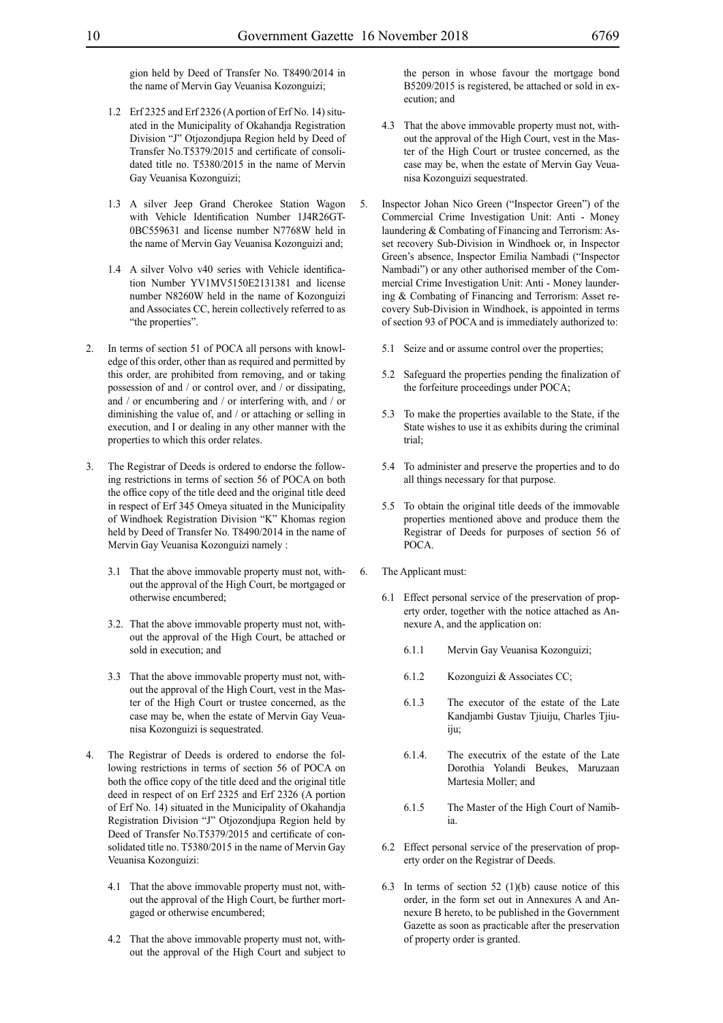gion held by Deed of Transfer No. T8490/2014 in the name of Mervin Gay Veuanisa Kozonguizi;

- 1.2 Erf 2325 and Erf 2326 (A portion of Erf No. 14) situated in the Municipality of Okahandja Registration Division "J" Otjozondjupa Region held by Deed of Transfer No.T5379/2015 and certificate of consolidated title no. T5380/2015 in the name of Mervin Gay Veuanisa Kozonguizi;
- 1.3 A silver Jeep Grand Cherokee Station Wagon with Vehicle Identification Number 1J4R26GT-0BC559631 and license number N7768W held in the name of Mervin Gay Veuanisa Kozonguizi and;
- 1.4 A silver Volvo v40 series with Vehicle identification Number YV1MV5150E2131381 and license number N8260W held in the name of Kozonguizi and Associates CC, herein collectively referred to as "the properties".
- 2. In terms of section 51 of POCA all persons with knowledge of this order, other than as required and permitted by this order, are prohibited from removing, and or taking possession of and / or control over, and / or dissipating, and / or encumbering and / or interfering with, and / or diminishing the value of, and / or attaching or selling in execution, and I or dealing in any other manner with the properties to which this order relates.
- 3. The Registrar of Deeds is ordered to endorse the following restrictions in terms of section 56 of POCA on both the office copy of the title deed and the original title deed in respect of Erf 345 Omeya situated in the Municipality of Windhoek Registration Division "K" Khomas region held by Deed of Transfer No. T8490/2014 in the name of Mervin Gay Veuanisa Kozonguizi namely :
	- 3.1 That the above immovable property must not, without the approval of the High Court, be mortgaged or otherwise encumbered;
	- 3.2. That the above immovable property must not, without the approval of the High Court, be attached or sold in execution; and
	- 3.3 That the above immovable property must not, without the approval of the High Court, vest in the Master of the High Court or trustee concerned, as the case may be, when the estate of Mervin Gay Veuanisa Kozonguizi is sequestrated.
- 4. The Registrar of Deeds is ordered to endorse the following restrictions in terms of section 56 of POCA on both the office copy of the title deed and the original title deed in respect of on Erf 2325 and Erf 2326 (A portion of Erf No. 14) situated in the Municipality of Okahandja Registration Division "J" Otjozondjupa Region held by Deed of Transfer No.T5379/2015 and certificate of consolidated title no. T5380/2015 in the name of Mervin Gay Veuanisa Kozonguizi:
	- 4.1 That the above immovable property must not, without the approval of the High Court, be further mortgaged or otherwise encumbered;
	- 4.2 That the above immovable property must not, without the approval of the High Court and subject to

the person in whose favour the mortgage bond B5209/2015 is registered, be attached or sold in execution; and

- 4.3 That the above immovable property must not, without the approval of the High Court, vest in the Master of the High Court or trustee concerned, as the case may be, when the estate of Mervin Gay Veuanisa Kozonguizi sequestrated.
- 5. Inspector Johan Nico Green ("Inspector Green") of the Commercial Crime Investigation Unit: Anti - Money laundering & Combating of Financing and Terrorism: Asset recovery Sub-Division in Windhoek or, in Inspector Green's absence, Inspector Emilia Nambadi ("Inspector Nambadi") or any other authorised member of the Commercial Crime Investigation Unit: Anti - Money laundering & Combating of Financing and Terrorism: Asset recovery Sub-Division in Windhoek, is appointed in terms of section 93 of POCA and is immediately authorized to:
	- 5.1 Seize and or assume control over the properties;
	- 5.2 Safeguard the properties pending the finalization of the forfeiture proceedings under POCA;
	- 5.3 To make the properties available to the State, if the State wishes to use it as exhibits during the criminal trial;
	- 5.4 To administer and preserve the properties and to do all things necessary for that purpose.
	- 5.5 To obtain the original title deeds of the immovable properties mentioned above and produce them the Registrar of Deeds for purposes of section 56 of POCA.
- 6. The Applicant must:
	- 6.1 Effect personal service of the preservation of property order, together with the notice attached as Annexure A, and the application on:
		- 6.1.1 Mervin Gay Veuanisa Kozonguizi;
		- 6.1.2 Kozonguizi & Associates CC;
		- 6.1.3 The executor of the estate of the Late Kandjambi Gustav Tjiuiju, Charles Tjiuiiu:
		- 6.1.4. The executrix of the estate of the Late Dorothia Yolandi Beukes, Maruzaan Martesia Moller; and
		- 6.1.5 The Master of the High Court of Namibia.
	- 6.2 Effect personal service of the preservation of property order on the Registrar of Deeds.
	- 6.3 In terms of section 52 (1)(b) cause notice of this order, in the form set out in Annexures A and Annexure B hereto, to be published in the Government Gazette as soon as practicable after the preservation of property order is granted.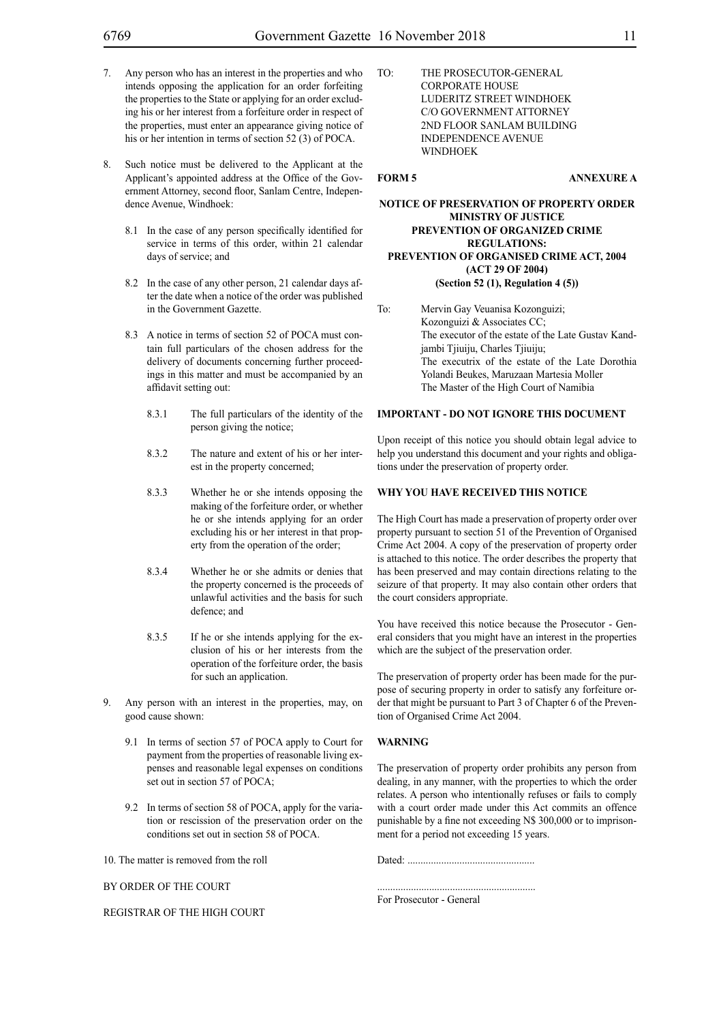- 7. Any person who has an interest in the properties and who intends opposing the application for an order forfeiting the properties to the State or applying for an order excluding his or her interest from a forfeiture order in respect of the properties, must enter an appearance giving notice of his or her intention in terms of section 52 (3) of POCA.
- 8. Such notice must be delivered to the Applicant at the Applicant's appointed address at the Office of the Government Attorney, second floor, Sanlam Centre, Independence Avenue, Windhoek:
	- 8.1 In the case of any person specifically identified for service in terms of this order, within 21 calendar days of service; and
	- 8.2 In the case of any other person, 21 calendar days after the date when a notice of the order was published in the Government Gazette.
	- 8.3 A notice in terms of section 52 of POCA must contain full particulars of the chosen address for the delivery of documents concerning further proceedings in this matter and must be accompanied by an affidavit setting out:
		- 8.3.1 The full particulars of the identity of the person giving the notice;
		- 8.3.2 The nature and extent of his or her interest in the property concerned;
		- 8.3.3 Whether he or she intends opposing the making of the forfeiture order, or whether he or she intends applying for an order excluding his or her interest in that property from the operation of the order;
		- 8.3.4 Whether he or she admits or denies that the property concerned is the proceeds of unlawful activities and the basis for such defence; and
		- 8.3.5 If he or she intends applying for the exclusion of his or her interests from the operation of the forfeiture order, the basis for such an application.
- 9. Any person with an interest in the properties, may, on good cause shown:
	- 9.1 In terms of section 57 of POCA apply to Court for payment from the properties of reasonable living expenses and reasonable legal expenses on conditions set out in section 57 of POCA;
	- 9.2 In terms of section 58 of POCA, apply for the variation or rescission of the preservation order on the conditions set out in section 58 of POCA.

10. The matter is removed from the roll

BY ORDER OF THE COURT

REGISTRAR OF THE HIGH COURT

TO: THE PROSECUTOR-GENERAL CORPORATE HOUSE LUDERITZ STREET WINDHOEK C/O GOVERNMENT ATTORNEY 2ND FLOOR SANLAM BUILDING INDEPENDENCE AVENUE **WINDHOEK** 

## **FORM 5 ANNEXURE A**

## **NOTICE OF PRESERVATION OF PROPERTY ORDER MINISTRY OF JUSTICE PREVENTION OF ORGANIZED CRIME REGULATIONS: PREVENTION OF ORGANISED CRIME ACT, 2004 (ACT 29 OF 2004) (Section 52 (1), Regulation 4 (5))**

To: Mervin Gay Veuanisa Kozonguizi; Kozonguizi & Associates CC; The executor of the estate of the Late Gustav Kandjambi Tijuiju, Charles Tijuiju; The executrix of the estate of the Late Dorothia Yolandi Beukes, Maruzaan Martesia Moller The Master of the High Court of Namibia

#### **IMPORTANT - DO NOT IGNORE THIS DOCUMENT**

Upon receipt of this notice you should obtain legal advice to help you understand this document and your rights and obligations under the preservation of property order.

## **WHY YOU HAVE RECEIVED THIS NOTICE**

The High Court has made a preservation of property order over property pursuant to section 51 of the Prevention of Organised Crime Act 2004. A copy of the preservation of property order is attached to this notice. The order describes the property that has been preserved and may contain directions relating to the seizure of that property. It may also contain other orders that the court considers appropriate.

You have received this notice because the Prosecutor - General considers that you might have an interest in the properties which are the subject of the preservation order.

The preservation of property order has been made for the purpose of securing property in order to satisfy any forfeiture order that might be pursuant to Part 3 of Chapter 6 of the Prevention of Organised Crime Act 2004.

#### **WARNING**

The preservation of property order prohibits any person from dealing, in any manner, with the properties to which the order relates. A person who intentionally refuses or fails to comply with a court order made under this Act commits an offence punishable by a fine not exceeding N\$ 300,000 or to imprisonment for a period not exceeding 15 years.

Dated: .................................................

.............................................................

For Prosecutor - General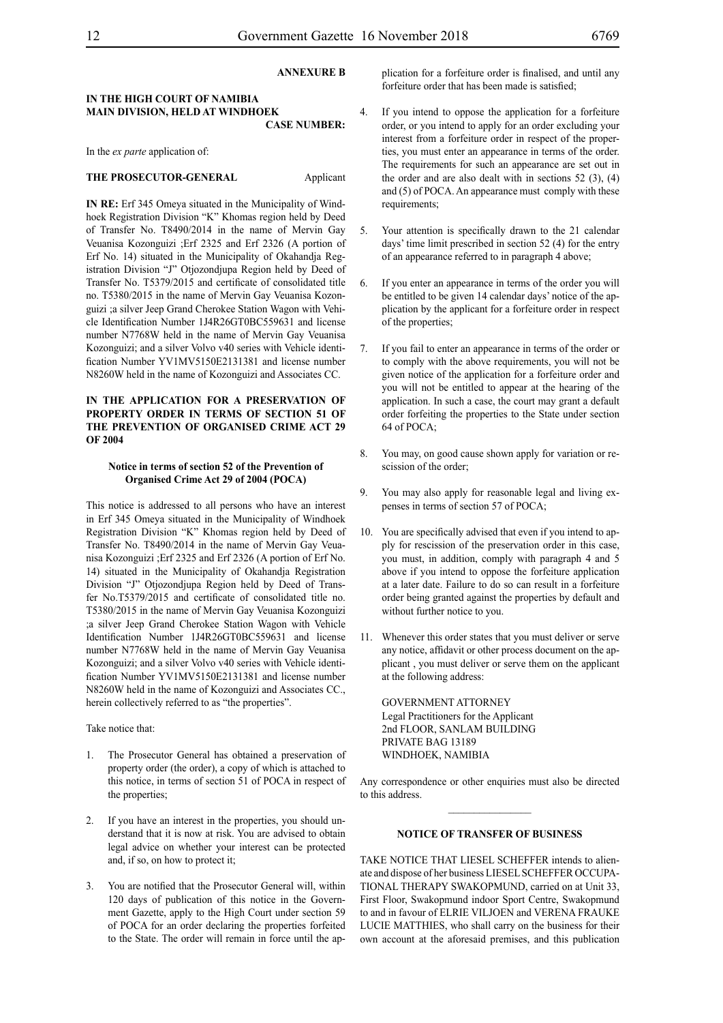#### **ANNEXURE B**

### **IN THE HIGH COURT OF NAMIBIA MAIN DIVISION, HELD AT WINDHOEK CASE NUMBER:**

In the *ex parte* application of:

#### **THE PROSECUTOR-GENERAL** Applicant

**IN RE:** Erf 345 Omeya situated in the Municipality of Windhoek Registration Division "K" Khomas region held by Deed of Transfer No. T8490/2014 in the name of Mervin Gay Veuanisa Kozonguizi ;Erf 2325 and Erf 2326 (A portion of Erf No. 14) situated in the Municipality of Okahandja Registration Division "J" Otjozondjupa Region held by Deed of Transfer No. T5379/2015 and certificate of consolidated title no. T5380/2015 in the name of Mervin Gay Veuanisa Kozonguizi ;a silver Jeep Grand Cherokee Station Wagon with Vehicle Identification Number 1J4R26GT0BC559631 and license number N7768W held in the name of Mervin Gay Veuanisa Kozonguizi; and a silver Volvo v40 series with Vehicle identification Number YV1MV5150E2131381 and license number N8260W held in the name of Kozonguizi and Associates CC.

## **IN THE APPLICATION FOR A PRESERVATION OF PROPERTY ORDER IN TERMS OF SECTION 51 OF THE PREVENTION OF ORGANISED CRIME ACT 29 OF 2004**

#### **Notice in terms of section 52 of the Prevention of Organised Crime Act 29 of 2004 (POCA)**

This notice is addressed to all persons who have an interest in Erf 345 Omeya situated in the Municipality of Windhoek Registration Division "K" Khomas region held by Deed of Transfer No. T8490/2014 in the name of Mervin Gay Veuanisa Kozonguizi ;Erf 2325 and Erf 2326 (A portion of Erf No. 14) situated in the Municipality of Okahandja Registration Division "J" Otjozondjupa Region held by Deed of Transfer No.T5379/2015 and certificate of consolidated title no. T5380/2015 in the name of Mervin Gay Veuanisa Kozonguizi ;a silver Jeep Grand Cherokee Station Wagon with Vehicle Identification Number 1J4R26GT0BC559631 and license number N7768W held in the name of Mervin Gay Veuanisa Kozonguizi; and a silver Volvo v40 series with Vehicle identification Number YV1MV5150E2131381 and license number N8260W held in the name of Kozonguizi and Associates CC., herein collectively referred to as "the properties".

Take notice that:

- 1. The Prosecutor General has obtained a preservation of property order (the order), a copy of which is attached to this notice, in terms of section 51 of POCA in respect of the properties;
- 2. If you have an interest in the properties, you should understand that it is now at risk. You are advised to obtain legal advice on whether your interest can be protected and, if so, on how to protect it;
- 3. You are notified that the Prosecutor General will, within 120 days of publication of this notice in the Government Gazette, apply to the High Court under section 59 of POCA for an order declaring the properties forfeited to the State. The order will remain in force until the ap-

plication for a forfeiture order is finalised, and until any forfeiture order that has been made is satisfied;

- 4. If you intend to oppose the application for a forfeiture order, or you intend to apply for an order excluding your interest from a forfeiture order in respect of the properties, you must enter an appearance in terms of the order. The requirements for such an appearance are set out in the order and are also dealt with in sections  $52$  (3), (4) and (5) of POCA. An appearance must comply with these requirements;
- 5. Your attention is specifically drawn to the 21 calendar days' time limit prescribed in section 52 (4) for the entry of an appearance referred to in paragraph 4 above;
- 6. If you enter an appearance in terms of the order you will be entitled to be given 14 calendar days' notice of the application by the applicant for a forfeiture order in respect of the properties;
- 7. If you fail to enter an appearance in terms of the order or to comply with the above requirements, you will not be given notice of the application for a forfeiture order and you will not be entitled to appear at the hearing of the application. In such a case, the court may grant a default order forfeiting the properties to the State under section 64 of POCA;
- 8. You may, on good cause shown apply for variation or rescission of the order;
- 9. You may also apply for reasonable legal and living expenses in terms of section 57 of POCA;
- 10. You are specifically advised that even if you intend to apply for rescission of the preservation order in this case, you must, in addition, comply with paragraph 4 and 5 above if you intend to oppose the forfeiture application at a later date. Failure to do so can result in a forfeiture order being granted against the properties by default and without further notice to you.
- 11. Whenever this order states that you must deliver or serve any notice, affidavit or other process document on the applicant , you must deliver or serve them on the applicant at the following address:

GOVERNMENT ATTORNEY Legal Practitioners for the Applicant 2nd FLOOR, SANLAM BUILDING PRIVATE BAG 13189 WINDHOEK, NAMIBIA

Any correspondence or other enquiries must also be directed to this address.

#### **NOTICE OF TRANSFER OF BUSINESS**

TAKE NOTICE THAT LIESEL SCHEFFER intends to alienate and dispose of her business LIESEL SCHEFFER OCCUPA-TIONAL THERAPY SWAKOPMUND, carried on at Unit 33, First Floor, Swakopmund indoor Sport Centre, Swakopmund to and in favour of ELRIE VILJOEN and VERENA FRAUKE LUCIE MATTHIES, who shall carry on the business for their own account at the aforesaid premises, and this publication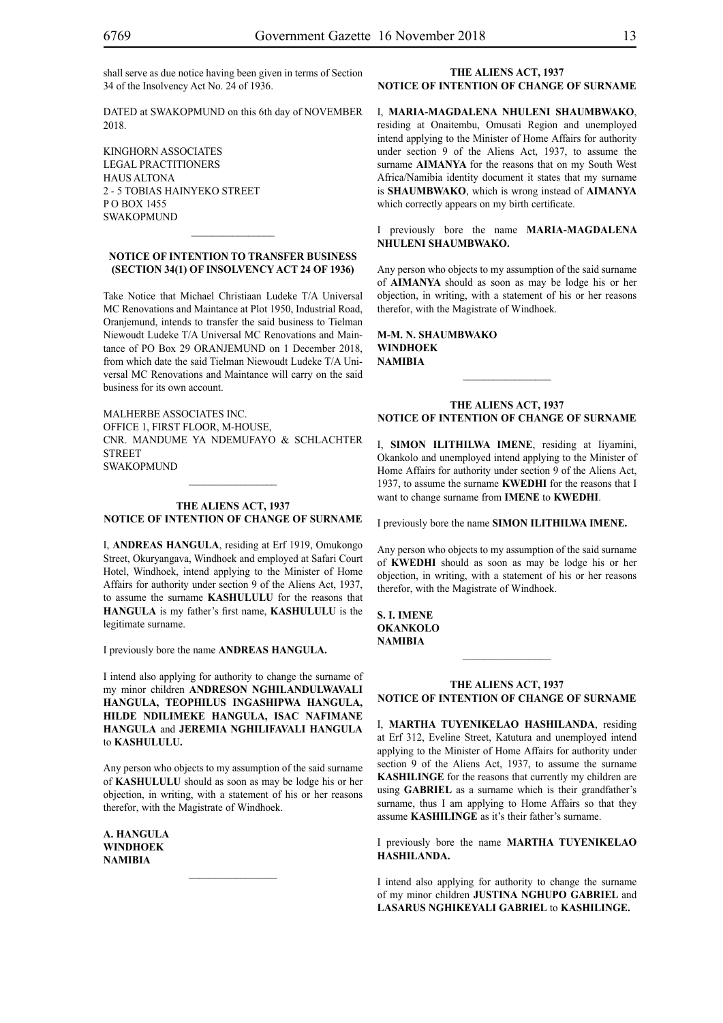shall serve as due notice having been given in terms of Section 34 of the Insolvency Act No. 24 of 1936.

DATED at SWAKOPMUND on this 6th day of NOVEMBER 2018.

KINGHORN ASSOCIATES LEGAL PRACTITIONERS HAUS ALTONA 2 - 5 TOBIAS HAINYEKO STREET P O BOX 1455 SWAKOPMUND

#### **NOTICE OF INTENTION TO TRANSFER BUSINESS (SECTION 34(1) OF INSOLVENCY ACT 24 OF 1936)**

 $\mathcal{L}=\mathcal{L}^{\mathcal{L}}$ 

Take Notice that Michael Christiaan Ludeke T/A Universal MC Renovations and Maintance at Plot 1950, Industrial Road, Oranjemund, intends to transfer the said business to Tielman Niewoudt Ludeke T/A Universal MC Renovations and Maintance of PO Box 29 ORANJEMUND on 1 December 2018, from which date the said Tielman Niewoudt Ludeke T/A Universal MC Renovations and Maintance will carry on the said business for its own account.

MALHERBE ASSOCIATES INC. Office 1, First Floor, M-House, Cnr. Mandume Ya Ndemufayo & Schlachter **STREET SWAKOPMUND** 

## **THE ALIENS ACT, 1937 NOTICE OF INTENTION OF CHANGE OF SURNAME**

I, **andreas hangula**, residing at Erf 1919, Omukongo Street, Okuryangava, Windhoek and employed at Safari Court Hotel, Windhoek, intend applying to the Minister of Home Affairs for authority under section 9 of the Aliens Act, 1937, to assume the surname **KASHULULU** for the reasons that **hangula** is my father's first name, **KASHULULU** is the legitimate surname.

I previously bore the name **ANDREAS HANGULA.** 

I intend also applying for authority to change the surname of my minor children **ANDRESON NGHILANDULWAVALI HANGULA, TEOPHILUS INGASHIPWA HANGULA, HILDE NDILIMEKE HANGULA, ISAC NAFIMANE HANGULA** and **JEREMIA NGHILIFAVALI HANGULA** to **KASHULULU.**

Any person who objects to my assumption of the said surname of **KASHULULU** should as soon as may be lodge his or her objection, in writing, with a statement of his or her reasons therefor, with the Magistrate of Windhoek.

**a. hangula windhoek NAMIBIA**

## **THE ALIENS ACT, 1937 NOTICE OF INTENTION OF CHANGE OF SURNAME**

I, **maria-magdalena nhuleni shaumbwako**, residing at Onaitembu, Omusati Region and unemployed intend applying to the Minister of Home Affairs for authority under section 9 of the Aliens Act, 1937, to assume the surname **AIMANYA** for the reasons that on my South West Africa/Namibia identity document it states that my surname is **SHAUMBWAKO**, which is wrong instead of **AIMANYA** which correctly appears on my birth certificate.

I previously bore the name **MARIA-MAGDALENA nhuleni shaumbwako.**

Any person who objects to my assumption of the said surname of **aimanya** should as soon as may be lodge his or her objection, in writing, with a statement of his or her reasons therefor, with the Magistrate of Windhoek.

**m-m. n. shaumbwako windhoek NAMIBIA**

## **THE ALIENS ACT, 1937 NOTICE OF INTENTION OF CHANGE OF SURNAME**

 $\frac{1}{2}$ 

I, **simon ilithilwa imene**, residing at Iiyamini, Okankolo and unemployed intend applying to the Minister of Home Affairs for authority under section 9 of the Aliens Act, 1937, to assume the surname **kwedhi** for the reasons that I want to change surname from **IMENE** to **KWEDHI**.

I previously bore the name **simon ilithilwa imene.**

Any person who objects to my assumption of the said surname of **KWEDHI** should as soon as may be lodge his or her objection, in writing, with a statement of his or her reasons therefor, with the Magistrate of Windhoek.

**s. i. imene okankolo NAMIBIA**

## **THE ALIENS ACT, 1937 NOTICE OF INTENTION OF CHANGE OF SURNAME**

 $\frac{1}{2}$ 

I, **martha tuyenikelao hashilanda**, residing at Erf 312, Eveline Street, Katutura and unemployed intend applying to the Minister of Home Affairs for authority under section 9 of the Aliens Act, 1937, to assume the surname **kashilinge** for the reasons that currently my children are using **GABRIEL** as a surname which is their grandfather's surname, thus I am applying to Home Affairs so that they assume **KASHILINGE** as it's their father's surname.

I previously bore the name **martha tuyenikelao hashilanda.**

I intend also applying for authority to change the surname of my minor children **JUSTINA NGHUPO GABRIEL** and **LASARUS NGHIKEYALI GABRIEL** to **KASHILINGE.**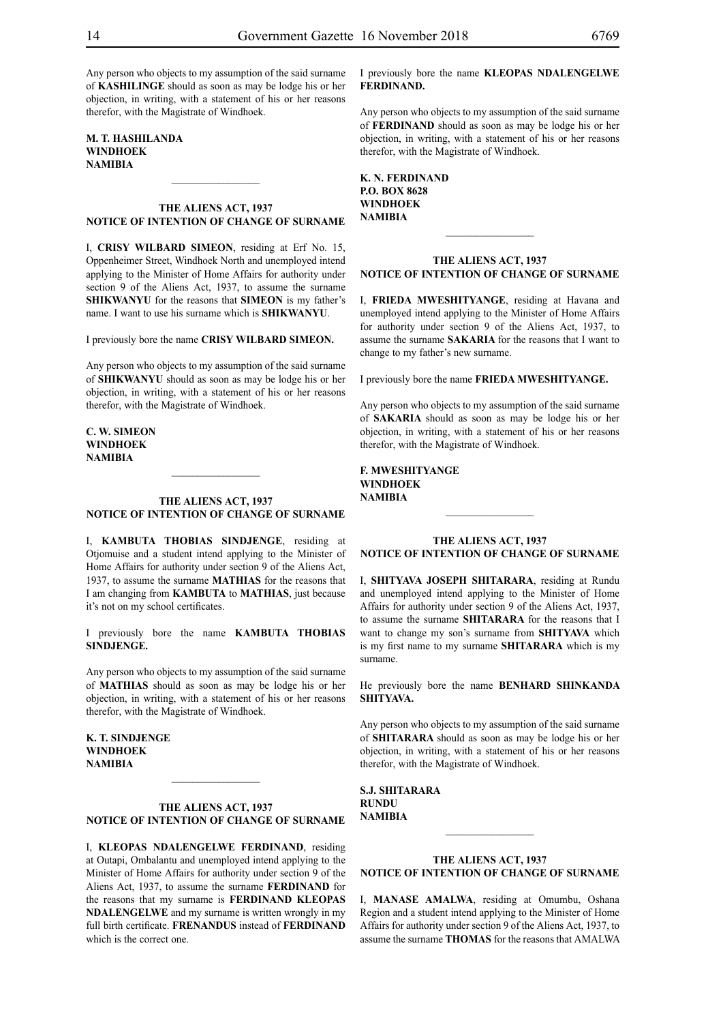Any person who objects to my assumption of the said surname of **KASHILINGE** should as soon as may be lodge his or her objection, in writing, with a statement of his or her reasons therefor, with the Magistrate of Windhoek.

**m. t. hashilanda windhoek NAMIBIA**

## **THE ALIENS ACT, 1937 NOTICE OF INTENTION OF CHANGE OF SURNAME**

 $\frac{1}{2}$ 

I, **crisy wilbard simeon**, residing at Erf No. 15, Oppenheimer Street, Windhoek North and unemployed intend applying to the Minister of Home Affairs for authority under section 9 of the Aliens Act, 1937, to assume the surname **shikwanyu** for the reasons that **SIMEON** is my father's name. I want to use his surname which is **SHIKWANYU**.

I previously bore the name **crisy wilbard simeon.**

Any person who objects to my assumption of the said surname of **shikwanyu** should as soon as may be lodge his or her objection, in writing, with a statement of his or her reasons therefor, with the Magistrate of Windhoek.

## **c. w. simeon windhoek NAMIBIA**

#### **THE ALIENS ACT, 1937 NOTICE OF INTENTION OF CHANGE OF SURNAME**

 $\frac{1}{2}$ 

I, **KAMBUTA THOBIAS SINDJENGE**, residing at Otjomuise and a student intend applying to the Minister of Home Affairs for authority under section 9 of the Aliens Act, 1937, to assume the surname **mathias** for the reasons that I am changing from **KAMBUTA** to **MATHIAS**, just because it's not on my school certificates.

I previously bore the name **KAMBUTA THOBIAS SINDJENGE.**

Any person who objects to my assumption of the said surname of **mathias** should as soon as may be lodge his or her objection, in writing, with a statement of his or her reasons therefor, with the Magistrate of Windhoek.

**K. T. SINDJENGE windhoek NAMIBIA**

## **THE ALIENS ACT, 1937 NOTICE OF INTENTION OF CHANGE OF SURNAME**

 $\frac{1}{2}$ 

I, **kleopas ndalengelwe ferdinand**, residing at Outapi, Ombalantu and unemployed intend applying to the Minister of Home Affairs for authority under section 9 of the Aliens Act, 1937, to assume the surname **FERDINAND** for the reasons that my surname is **FERDINAND KLEOPAS NDALENGELWE** and my surname is written wrongly in my full birth certificate. **FRENANDUS** instead of **FERDINAND** which is the correct one.

I previously bore the name **KLEOPAS NDALENGELWE ferdinand.**

Any person who objects to my assumption of the said surname of FERDINAND should as soon as may be lodge his or her objection, in writing, with a statement of his or her reasons therefor, with the Magistrate of Windhoek.

**k. n. ferdinand P.O. BOX 8628 windhoek NAMIBIA**

## **THE ALIENS ACT, 1937 NOTICE OF INTENTION OF CHANGE OF SURNAME**

 $\frac{1}{2}$ 

I, **frieda mweshityange**, residing at Havana and unemployed intend applying to the Minister of Home Affairs for authority under section 9 of the Aliens Act, 1937, to assume the surname **SAKARIA** for the reasons that I want to change to my father's new surname.

I previously bore the name **frieda mweshityange.**

Any person who objects to my assumption of the said surname of **sakaria** should as soon as may be lodge his or her objection, in writing, with a statement of his or her reasons therefor, with the Magistrate of Windhoek.

**f. mweshityange windhoek NAMIBIA**

#### **THE ALIENS ACT, 1937 NOTICE OF INTENTION OF CHANGE OF SURNAME**

 $\frac{1}{2}$ 

I, **shityava joseph shitarara**, residing at Rundu and unemployed intend applying to the Minister of Home Affairs for authority under section 9 of the Aliens Act, 1937, to assume the surname **SHITARARA** for the reasons that I want to change my son's surname from **SHITYAVA** which is my first name to my surname **SHITARARA** which is my surname.

He previously bore the name **BENHARD SHINKANDA SHITYAVA.**

Any person who objects to my assumption of the said surname of **shitarara** should as soon as may be lodge his or her objection, in writing, with a statement of his or her reasons therefor, with the Magistrate of Windhoek.

**s.j. shitarara rundu NAMIBIA**

## **THE ALIENS ACT, 1937 NOTICE OF INTENTION OF CHANGE OF SURNAME**

I, **MANASE AMALWA**, residing at Omumbu, Oshana Region and a student intend applying to the Minister of Home Affairs for authority under section 9 of the Aliens Act, 1937, to assume the surname **thomas** for the reasons that AMALWA